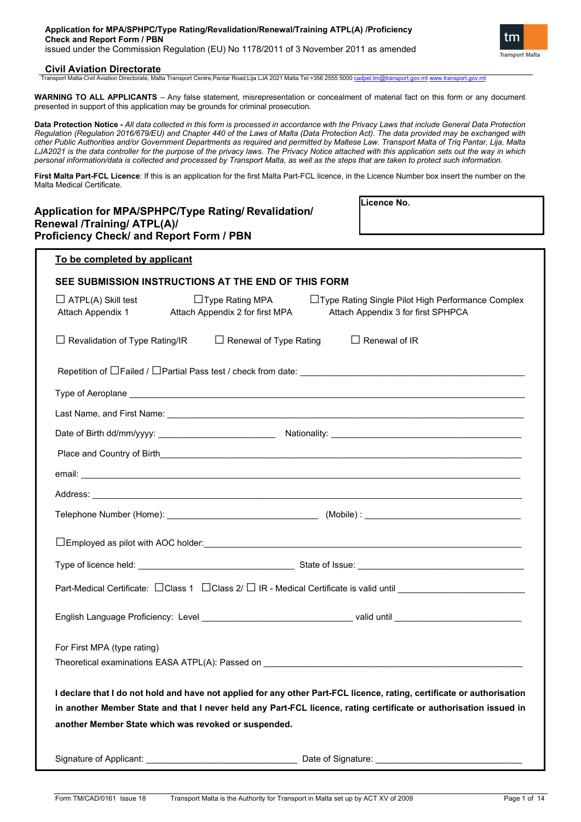#### **Application for MPA/SPHPC/Type Rating/Revalidation/Renewal/Training ATPL(A) /Proficiency Check and Report Form / PBN** issued under the Commission Regulation (EU) No 1178/2011 of 3 November 2011 as amended



Transport Malta-Civil Aviation Directorate, Malta Transport Centre,Pantar Road,Lija LJA 2021 Malta.Tel:+356 2555 500[0 cadpel.tm@transport.gov.mt](mailto:cadpel.tm@transport.gov.mt) www.transport.gov.m

**WARNING TO ALL APPLICANTS** – Any false statement, misrepresentation or concealment of material fact on this form or any document presented in support of this application may be grounds for criminal prosecution.

**Data Protection Notice -** *All data collected in this form is processed in accordance with the Privacy Laws that include General Data Protection Regulation (Regulation 2016/679/EU) and Chapter 440 of the Laws of Malta (Data Protection Act). The data provided may be exchanged with other Public Authorities and/or Government Departments as required and permitted by Maltese Law. Transport Malta of Triq Pantar, Lija, Malta LJA2021 is the data controller for the purpose of the privacy laws. The Privacy Notice attached with this application sets out the way in which personal information/data is collected and processed by Transport Malta, as well as the steps that are taken to protect such information.*

First Malta Part-FCL Licence: If this is an application for the first Malta Part-FCL licence, in the Licence Number box insert the number on the Malta Medical Certificate.

# **Application for MPA/SPHPC/Type Rating/ Revalidation/ Renewal /Training/ ATPL(A)/ Proficiency Check/ and Report Form / PBN**

| Licence No. |  |
|-------------|--|
|-------------|--|

| To be completed by applicant                                                                                                                                                                                                                                                                        |  |  |  |  |  |  |  |
|-----------------------------------------------------------------------------------------------------------------------------------------------------------------------------------------------------------------------------------------------------------------------------------------------------|--|--|--|--|--|--|--|
| SEE SUBMISSION INSTRUCTIONS AT THE END OF THIS FORM                                                                                                                                                                                                                                                 |  |  |  |  |  |  |  |
| $\Box$ Type Rating MPA<br>$\Box$ ATPL(A) Skill test<br>□Type Rating Single Pilot High Performance Complex<br>Attach Appendix 1<br>Attach Appendix 2 for first MPA<br>Attach Appendix 3 for first SPHPCA                                                                                             |  |  |  |  |  |  |  |
| $\Box$ Revalidation of Type Rating/IR<br>$\Box$ Renewal of Type Rating<br>$\Box$ Renewal of IR                                                                                                                                                                                                      |  |  |  |  |  |  |  |
|                                                                                                                                                                                                                                                                                                     |  |  |  |  |  |  |  |
|                                                                                                                                                                                                                                                                                                     |  |  |  |  |  |  |  |
|                                                                                                                                                                                                                                                                                                     |  |  |  |  |  |  |  |
|                                                                                                                                                                                                                                                                                                     |  |  |  |  |  |  |  |
|                                                                                                                                                                                                                                                                                                     |  |  |  |  |  |  |  |
|                                                                                                                                                                                                                                                                                                     |  |  |  |  |  |  |  |
|                                                                                                                                                                                                                                                                                                     |  |  |  |  |  |  |  |
|                                                                                                                                                                                                                                                                                                     |  |  |  |  |  |  |  |
|                                                                                                                                                                                                                                                                                                     |  |  |  |  |  |  |  |
|                                                                                                                                                                                                                                                                                                     |  |  |  |  |  |  |  |
| Part-Medical Certificate: □ Class 1 □ Class 2/ □ IR - Medical Certificate is valid until ____________________________                                                                                                                                                                               |  |  |  |  |  |  |  |
|                                                                                                                                                                                                                                                                                                     |  |  |  |  |  |  |  |
| For First MPA (type rating)                                                                                                                                                                                                                                                                         |  |  |  |  |  |  |  |
| I declare that I do not hold and have not applied for any other Part-FCL licence, rating, certificate or authorisation<br>in another Member State and that I never held any Part-FCL licence, rating certificate or authorisation issued in<br>another Member State which was revoked or suspended. |  |  |  |  |  |  |  |
| Signature of Applicant: <u>Community Community Community Community Community Community Community Community Community Community Community Community Community Community Community Community Community Community Community Communi</u>                                                                |  |  |  |  |  |  |  |

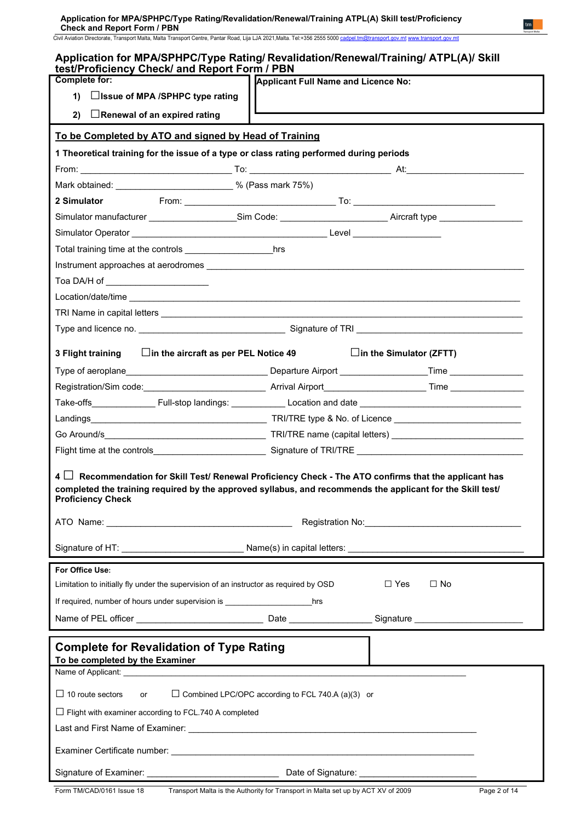Civil Aviation Directorate, Transport Malta, Malta Transport Centre, Pantar Road, Lija LJA 2021,Malta. Tel:+356 2555 5000 [cadpel.tm@transport.gov.mt](mailto:cadpel.tm@transport.gov.mt) www.transport.gov.mt

| Application for MPA/SPHPC/Type Rating/ Revalidation/Renewal/Training/ ATPL(A)/ Skill<br>test/Proficiency Check/ and Report Form / PBN                                                                                                                 |
|-------------------------------------------------------------------------------------------------------------------------------------------------------------------------------------------------------------------------------------------------------|
| <b>Complete for:</b><br>Applicant Full Name and Licence No:                                                                                                                                                                                           |
| □ Issue of MPA /SPHPC type rating<br>1)                                                                                                                                                                                                               |
| 2)<br>$\Box$ Renewal of an expired rating                                                                                                                                                                                                             |
| To be Completed by ATO and signed by Head of Training                                                                                                                                                                                                 |
| 1 Theoretical training for the issue of a type or class rating performed during periods                                                                                                                                                               |
|                                                                                                                                                                                                                                                       |
| Mark obtained: _____________________________% (Pass mark 75%)                                                                                                                                                                                         |
| 2 Simulator                                                                                                                                                                                                                                           |
| Simulator manufacturer ______________________Sim Code: ________________________Aircraft type _________________                                                                                                                                        |
|                                                                                                                                                                                                                                                       |
| Total training time at the controls<br>hrs                                                                                                                                                                                                            |
|                                                                                                                                                                                                                                                       |
| Toa DA/H of _______________________                                                                                                                                                                                                                   |
|                                                                                                                                                                                                                                                       |
|                                                                                                                                                                                                                                                       |
|                                                                                                                                                                                                                                                       |
| 3 Flight training<br>$\Box$ in the aircraft as per PEL Notice 49<br>$\Box$ in the Simulator (ZFTT)                                                                                                                                                    |
| Type of aeroplane___________________________________Departure Airport ________________Time __________________                                                                                                                                         |
|                                                                                                                                                                                                                                                       |
| Take-offs_________________Full-stop landings: ______________Location and date ________________________________                                                                                                                                        |
|                                                                                                                                                                                                                                                       |
|                                                                                                                                                                                                                                                       |
| Flight time at the controls_____________________________Signature of TRI/TRE _________________________________                                                                                                                                        |
| $4 \Box$ Recommendation for Skill Test/ Renewal Proficiency Check - The ATO confirms that the applicant has<br>completed the training required by the approved syllabus, and recommends the applicant for the Skill test/<br><b>Proficiency Check</b> |
|                                                                                                                                                                                                                                                       |
|                                                                                                                                                                                                                                                       |
|                                                                                                                                                                                                                                                       |
| For Office Use:                                                                                                                                                                                                                                       |
| $\square$ No<br>Limitation to initially fly under the supervision of an instructor as required by OSD<br>$\Box$ Yes                                                                                                                                   |
| If required, number of hours under supervision is _____________________________hrs                                                                                                                                                                    |
|                                                                                                                                                                                                                                                       |
| <b>Complete for Revalidation of Type Rating</b><br>To be completed by the Examiner                                                                                                                                                                    |
|                                                                                                                                                                                                                                                       |
| $\Box$ 10 route sectors<br>$\Box$ Combined LPC/OPC according to FCL 740.A (a)(3) or<br>or                                                                                                                                                             |
| $\Box$ Flight with examiner according to FCL.740 A completed                                                                                                                                                                                          |
|                                                                                                                                                                                                                                                       |
|                                                                                                                                                                                                                                                       |
|                                                                                                                                                                                                                                                       |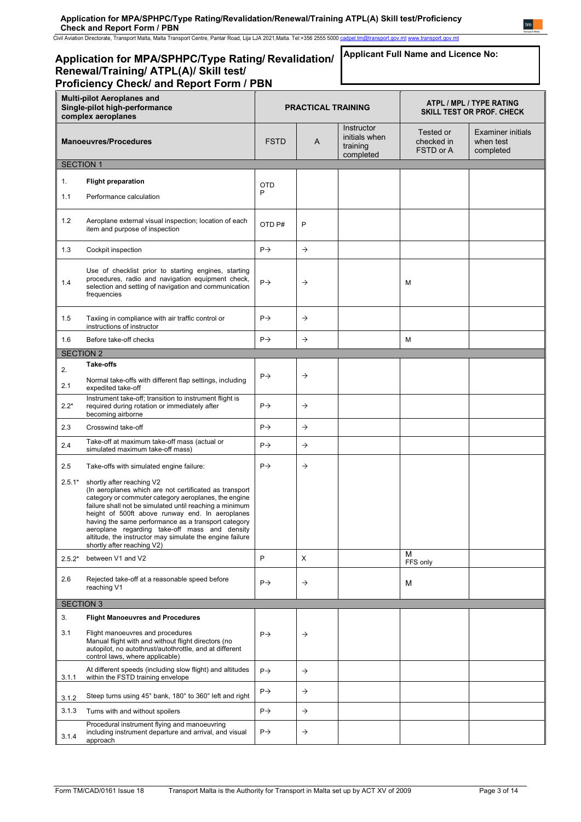Civil Aviation Directorate, Transport Malta, Malta Transport Centre, Pantar Road, Lija LJA 2021,Malta. Tel:+356 2555 5000 [cadpel.tm@transport.gov.mt](mailto:cadpel.tm@transport.gov.mt) www.transport.gov.mt

#### **Application for MPA/SPHPC/Type Rating/ Revalidation/ Renewal/Training/ ATPL(A)/ Skill test/ Proficiency Check/ and Report Form / PBN Multi-pilot Aeroplanes and Single-pilot high-performance complex aeroplanes PRACTICAL TRAINING ATPL / MPL / TYPE RATING SKILL TEST OR PROF. CHECK Manoeuvres/Procedures** FSTD A **Instructor** initials when training completed Tested or checked in FSTD or A Examiner initials when test completed SECTION 1 1. 1.1 **Flight preparation** Performance calculation OTD P 1.2 Aeroplane external visual inspection; location of each item and purpose of inspection OTD P# <sup>P</sup> 1.3 Cockpit inspection P 1.4 Use of checklist prior to starting engines, starting procedures, radio and navigation equipment check, selection and setting of navigation and communication frequencies  $P \rightarrow$   $\rightarrow$   $\rightarrow$  M 1.5 Taxiing in compliance with air traffic control or instructions of instructor  $P \rightarrow$   $\rightarrow$ 1.6 Before take-off checks  $\begin{vmatrix} P \rightarrow \\ M \end{vmatrix}$ SECTION 2 2. 2.1 **Take-offs** Normal take-offs with different flap settings, including expedited take-off  $P \rightarrow$   $\rightarrow$  $2.2*$ Instrument take-off; transition to instrument flight is required during rotation or immediately after becoming airborne  $P \rightarrow$   $\rightarrow$ 2.3 Crosswind take-off P 2.4 Take-off at maximum take-off mass (actual or Take-off at maximum take-off mass (actual or  $\begin{array}{|c|c|c|c|c|}\n\hline\n\text{simulated maximum take-off mass)}\n\end{array}$ 2.5  $2.5.1*$ Take-offs with simulated engine failure: shortly after reaching V2 (In aeroplanes which are not certificated as transport category or commuter category aeroplanes, the engine failure shall not be simulated until reaching a minimum height of 500ft above runway end. In aeroplanes having the same performance as a transport category aeroplane regarding take-off mass and density altitude, the instructor may simulate the engine failure shortly after reaching V2)  $P \rightarrow$   $\rightarrow$ 2.5.2\* between V1 and V2 <sup>P</sup> <sup>X</sup> <sup>M</sup> FFS only 2.6 Rejected take-off at a reasonable speed before  $\rho \rightarrow$   $\rho \rightarrow$   $\rho$ SECTION 3 3. 3.1 **Flight Manoeuvres and Procedures** Flight manoeuvres and procedures Manual flight with and without flight directors (no autopilot, no autothrust/autothrottle, and at different control laws, where applicable)  $P \rightarrow$ 3.1.1 At different speeds (including slow flight) and altitudes within the FSTD training envelope  $P \rightarrow$   $\rightarrow$ 3.1.2 Steep turns using 45° bank, 180° to 360° left and right  $\begin{vmatrix} P \rightarrow \end{vmatrix}$   $\rightarrow$ **Applicant Full Name and Licence No:**

approach

3.1.4

3.1.3 Turns with and without spoilers **Parameter** P  $\rightarrow$  P  $\rightarrow$ 

Procedural instrument flying and manoeuvring including instrument departure and arrival, and visual

 $P \rightarrow$   $\rightarrow$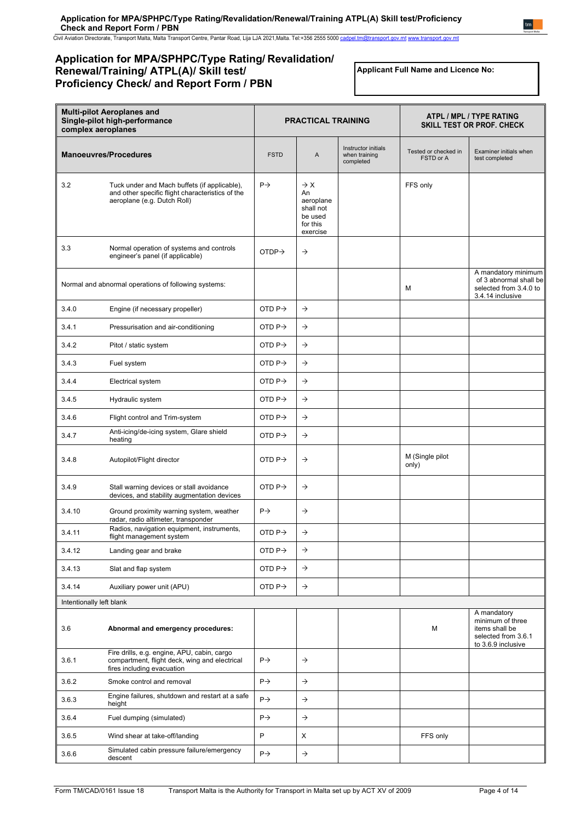Civil Aviation Directorate, Transport Malta, Malta Transport Centre, Pantar Road, Lija LJA 2021,Malta. Tel:+356 2555 5000 [cadpel.tm@transport.gov.mt](mailto:cadpel.tm@transport.gov.mt) www.transport.gov.mt

# **Application for MPA/SPHPC/Type Rating/ Revalidation/ Renewal/Training/ ATPL(A)/ Skill test/ Proficiency Check/ and Report Form / PBN**

**Applicant Full Name and Licence No:**

| <b>Multi-pilot Aeroplanes and</b><br>Single-pilot high-performance<br>complex aeroplanes |                                                                                                                                 | <b>PRACTICAL TRAINING</b> |                                                                                    | ATPL / MPL / TYPE RATING<br><b>SKILL TEST OR PROF. CHECK</b> |                                   |                                                                                                |
|------------------------------------------------------------------------------------------|---------------------------------------------------------------------------------------------------------------------------------|---------------------------|------------------------------------------------------------------------------------|--------------------------------------------------------------|-----------------------------------|------------------------------------------------------------------------------------------------|
|                                                                                          | <b>Manoeuvres/Procedures</b>                                                                                                    | <b>FSTD</b>               | A                                                                                  | Instructor initials<br>when training<br>completed            | Tested or checked in<br>FSTD or A | Examiner initials when<br>test completed                                                       |
| 3.2                                                                                      | Tuck under and Mach buffets (if applicable),<br>and other specific flight characteristics of the<br>aeroplane (e.g. Dutch Roll) | $P \rightarrow$           | $\rightarrow$ X<br>An<br>aeroplane<br>shall not<br>be used<br>for this<br>exercise |                                                              | FFS only                          |                                                                                                |
| 3.3                                                                                      | Normal operation of systems and controls<br>engineer's panel (if applicable)                                                    | OTDP <sub>2</sub>         | $\rightarrow$                                                                      |                                                              |                                   |                                                                                                |
|                                                                                          | Normal and abnormal operations of following systems:                                                                            |                           |                                                                                    |                                                              | М                                 | A mandatory minimum<br>of 3 abnormal shall be<br>selected from 3.4.0 to<br>3.4.14 inclusive    |
| 3.4.0                                                                                    | Engine (if necessary propeller)                                                                                                 | OTD $P \rightarrow$       | $\rightarrow$                                                                      |                                                              |                                   |                                                                                                |
| 3.4.1                                                                                    | Pressurisation and air-conditioning                                                                                             | OTD $P\rightarrow$        | $\rightarrow$                                                                      |                                                              |                                   |                                                                                                |
| 3.4.2                                                                                    | Pitot / static system                                                                                                           | OTD $P\rightarrow$        | $\rightarrow$                                                                      |                                                              |                                   |                                                                                                |
| 3.4.3                                                                                    | Fuel system                                                                                                                     | OTD $P\rightarrow$        | $\rightarrow$                                                                      |                                                              |                                   |                                                                                                |
| 3.4.4                                                                                    | Electrical system                                                                                                               | OTD $P \rightarrow$       | $\rightarrow$                                                                      |                                                              |                                   |                                                                                                |
| 3.4.5                                                                                    | Hydraulic system                                                                                                                | OTD $P\rightarrow$        | $\rightarrow$                                                                      |                                                              |                                   |                                                                                                |
| 3.4.6                                                                                    | Flight control and Trim-system                                                                                                  | OTD $P\rightarrow$        | $\rightarrow$                                                                      |                                                              |                                   |                                                                                                |
| 3.4.7                                                                                    | Anti-icing/de-icing system, Glare shield<br>heating                                                                             | OTD $P\rightarrow$        | $\rightarrow$                                                                      |                                                              |                                   |                                                                                                |
| 3.4.8                                                                                    | Autopilot/Flight director                                                                                                       | OTD $P\rightarrow$        | $\rightarrow$                                                                      |                                                              | M (Single pilot<br>only)          |                                                                                                |
| 3.4.9                                                                                    | Stall warning devices or stall avoidance<br>devices, and stability augmentation devices                                         | OTD $P\rightarrow$        | $\rightarrow$                                                                      |                                                              |                                   |                                                                                                |
| 3.4.10                                                                                   | Ground proximity warning system, weather<br>radar, radio altimeter, transponder                                                 | $P \rightarrow$           | $\rightarrow$                                                                      |                                                              |                                   |                                                                                                |
| 3.4.11                                                                                   | Radios, navigation equipment, instruments,<br>flight management system                                                          | OTD $P \rightarrow$       | $\rightarrow$                                                                      |                                                              |                                   |                                                                                                |
| 3.4.12                                                                                   | Landing gear and brake                                                                                                          | OTD $P \rightarrow$       | $\rightarrow$                                                                      |                                                              |                                   |                                                                                                |
| 3.4.13                                                                                   | Slat and flap system                                                                                                            | OTD $P\rightarrow$        | $\rightarrow$                                                                      |                                                              |                                   |                                                                                                |
| 3.4.14                                                                                   | Auxiliary power unit (APU)                                                                                                      | OTD $P\rightarrow$        | $\rightarrow$                                                                      |                                                              |                                   |                                                                                                |
| Intentionally left blank                                                                 |                                                                                                                                 |                           |                                                                                    |                                                              |                                   |                                                                                                |
| 3.6                                                                                      | Abnormal and emergency procedures:                                                                                              |                           |                                                                                    |                                                              | M                                 | A mandatory<br>minimum of three<br>items shall be<br>selected from 3.6.1<br>to 3.6.9 inclusive |
| 3.6.1                                                                                    | Fire drills, e.g. engine, APU, cabin, cargo<br>compartment, flight deck, wing and electrical<br>fires including evacuation      | $P \rightarrow$           | $\rightarrow$                                                                      |                                                              |                                   |                                                                                                |
| 3.6.2                                                                                    | Smoke control and removal                                                                                                       | $P \rightarrow$           | $\rightarrow$                                                                      |                                                              |                                   |                                                                                                |
| 3.6.3                                                                                    | Engine failures, shutdown and restart at a safe<br>height                                                                       | $P \rightarrow$           | $\rightarrow$                                                                      |                                                              |                                   |                                                                                                |
| 3.6.4                                                                                    | Fuel dumping (simulated)                                                                                                        | $P \rightarrow$           | $\rightarrow$                                                                      |                                                              |                                   |                                                                                                |
| 3.6.5                                                                                    | Wind shear at take-off/landing                                                                                                  | P                         | X                                                                                  |                                                              | FFS only                          |                                                                                                |
| 3.6.6                                                                                    | Simulated cabin pressure failure/emergency<br>descent                                                                           | $P \rightarrow$           | $\rightarrow$                                                                      |                                                              |                                   |                                                                                                |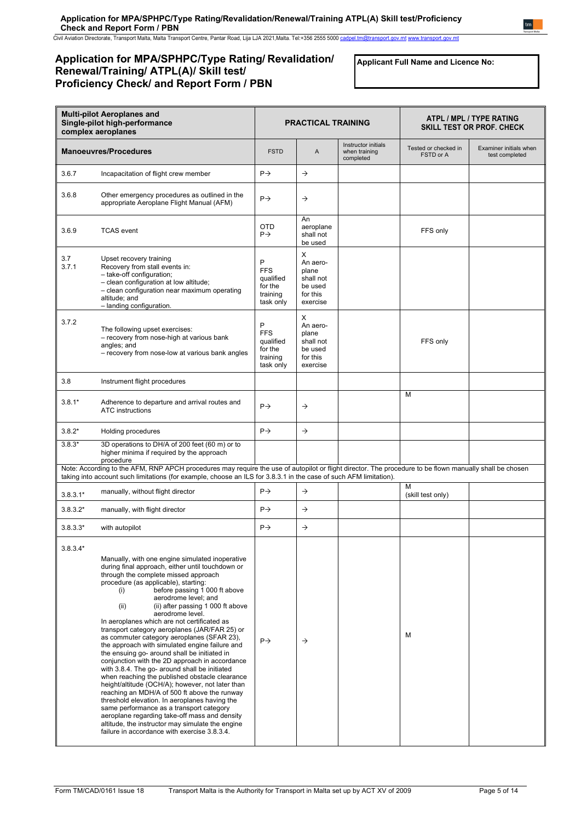Civil Aviation Directorate, Transport Malta, Malta Transport Centre, Pantar Road, Lija LJA 2021,Malta. Tel:+356 2555 5000 [cadpel.tm@transport.gov.mt](mailto:cadpel.tm@transport.gov.mt) www.transport.gov.mt

# **Application for MPA/SPHPC/Type Rating/ Revalidation/ Renewal/Training/ ATPL(A)/ Skill test/ Proficiency Check/ and Report Form / PBN**

**Applicant Full Name and Licence No:**

| <b>Multi-pilot Aeroplanes and</b><br>Single-pilot high-performance<br>complex aeroplanes |                                                                                                                                                                                                                                                                                                                                                                                                                                                                                                                                                                                                                                                                                                                                                                                                                                                                                                                                                                                                                                                                                 | <b>PRACTICAL TRAINING</b>                                        |                                                                        |                                                   | ATPL / MPL / TYPE RATING<br>SKILL TEST OR PROF. CHECK |                                          |
|------------------------------------------------------------------------------------------|---------------------------------------------------------------------------------------------------------------------------------------------------------------------------------------------------------------------------------------------------------------------------------------------------------------------------------------------------------------------------------------------------------------------------------------------------------------------------------------------------------------------------------------------------------------------------------------------------------------------------------------------------------------------------------------------------------------------------------------------------------------------------------------------------------------------------------------------------------------------------------------------------------------------------------------------------------------------------------------------------------------------------------------------------------------------------------|------------------------------------------------------------------|------------------------------------------------------------------------|---------------------------------------------------|-------------------------------------------------------|------------------------------------------|
|                                                                                          | <b>Manoeuvres/Procedures</b>                                                                                                                                                                                                                                                                                                                                                                                                                                                                                                                                                                                                                                                                                                                                                                                                                                                                                                                                                                                                                                                    | <b>FSTD</b>                                                      | A                                                                      | Instructor initials<br>when training<br>completed | Tested or checked in<br>FSTD or A                     | Examiner initials when<br>test completed |
| 3.6.7                                                                                    | Incapacitation of flight crew member                                                                                                                                                                                                                                                                                                                                                                                                                                                                                                                                                                                                                                                                                                                                                                                                                                                                                                                                                                                                                                            | $P\rightarrow$                                                   | $\rightarrow$                                                          |                                                   |                                                       |                                          |
| 3.6.8                                                                                    | Other emergency procedures as outlined in the<br>appropriate Aeroplane Flight Manual (AFM)                                                                                                                                                                                                                                                                                                                                                                                                                                                                                                                                                                                                                                                                                                                                                                                                                                                                                                                                                                                      | $P \rightarrow$                                                  | $\rightarrow$                                                          |                                                   |                                                       |                                          |
| 3.6.9                                                                                    | <b>TCAS</b> event                                                                                                                                                                                                                                                                                                                                                                                                                                                                                                                                                                                                                                                                                                                                                                                                                                                                                                                                                                                                                                                               | <b>OTD</b><br>$P \rightarrow$                                    | An<br>aeroplane<br>shall not<br>be used                                |                                                   | FFS only                                              |                                          |
| 3.7<br>3.7.1                                                                             | Upset recovery training<br>Recovery from stall events in:<br>- take-off configuration;<br>- clean configuration at low altitude;<br>- clean configuration near maximum operating<br>altitude; and<br>- landing configuration.                                                                                                                                                                                                                                                                                                                                                                                                                                                                                                                                                                                                                                                                                                                                                                                                                                                   | P<br><b>FFS</b><br>qualified<br>for the<br>training<br>task only | X<br>An aero-<br>plane<br>shall not<br>be used<br>for this<br>exercise |                                                   |                                                       |                                          |
| 3.7.2                                                                                    | The following upset exercises:<br>- recovery from nose-high at various bank<br>angles: and<br>- recovery from nose-low at various bank angles                                                                                                                                                                                                                                                                                                                                                                                                                                                                                                                                                                                                                                                                                                                                                                                                                                                                                                                                   | P<br><b>FFS</b><br>qualified<br>for the<br>training<br>task only | X<br>An aero-<br>plane<br>shall not<br>be used<br>for this<br>exercise |                                                   | FFS only                                              |                                          |
| 3.8                                                                                      | Instrument flight procedures                                                                                                                                                                                                                                                                                                                                                                                                                                                                                                                                                                                                                                                                                                                                                                                                                                                                                                                                                                                                                                                    |                                                                  |                                                                        |                                                   |                                                       |                                          |
| $3.8.1*$                                                                                 | Adherence to departure and arrival routes and<br><b>ATC</b> instructions                                                                                                                                                                                                                                                                                                                                                                                                                                                                                                                                                                                                                                                                                                                                                                                                                                                                                                                                                                                                        | $P \rightarrow$                                                  | $\rightarrow$                                                          |                                                   | M                                                     |                                          |
| $3.8.2*$                                                                                 | Holding procedures                                                                                                                                                                                                                                                                                                                                                                                                                                                                                                                                                                                                                                                                                                                                                                                                                                                                                                                                                                                                                                                              | $P \rightarrow$                                                  | $\rightarrow$                                                          |                                                   |                                                       |                                          |
| $3.8.3*$                                                                                 | 3D operations to DH/A of 200 feet (60 m) or to<br>higher minima if required by the approach<br>procedure                                                                                                                                                                                                                                                                                                                                                                                                                                                                                                                                                                                                                                                                                                                                                                                                                                                                                                                                                                        |                                                                  |                                                                        |                                                   |                                                       |                                          |
|                                                                                          | Note: According to the AFM, RNP APCH procedures may require the use of autopilot or flight director. The procedure to be flown manually shall be chosen<br>taking into account such limitations (for example, choose an ILS for 3.8.3.1 in the case of such AFM limitation).                                                                                                                                                                                                                                                                                                                                                                                                                                                                                                                                                                                                                                                                                                                                                                                                    |                                                                  |                                                                        |                                                   |                                                       |                                          |
| $3.8.3.1*$                                                                               | manually, without flight director                                                                                                                                                                                                                                                                                                                                                                                                                                                                                                                                                                                                                                                                                                                                                                                                                                                                                                                                                                                                                                               | $P\rightarrow$                                                   | $\rightarrow$                                                          |                                                   | M<br>(skill test only)                                |                                          |
| $3.8.3.2*$                                                                               | manually, with flight director                                                                                                                                                                                                                                                                                                                                                                                                                                                                                                                                                                                                                                                                                                                                                                                                                                                                                                                                                                                                                                                  | $P \rightarrow$                                                  | $\rightarrow$                                                          |                                                   |                                                       |                                          |
| $3.8.3.3*$                                                                               | with autopilot                                                                                                                                                                                                                                                                                                                                                                                                                                                                                                                                                                                                                                                                                                                                                                                                                                                                                                                                                                                                                                                                  | $P \rightarrow$                                                  | $\rightarrow$                                                          |                                                   |                                                       |                                          |
| $3.8.3.4*$                                                                               | Manually, with one engine simulated inoperative<br>during final approach, either until touchdown or<br>through the complete missed approach<br>procedure (as applicable), starting:<br>before passing 1 000 ft above<br>(i)<br>aerodrome level; and<br>(ii) after passing 1 000 ft above<br>(ii)<br>aerodrome level.<br>In aeroplanes which are not certificated as<br>transport category aeroplanes (JAR/FAR 25) or<br>as commuter category aeroplanes (SFAR 23),<br>the approach with simulated engine failure and<br>the ensuing go- around shall be initiated in<br>conjunction with the 2D approach in accordance<br>with 3.8.4. The go- around shall be initiated<br>when reaching the published obstacle clearance<br>height/altitude (OCH/A); however, not later than<br>reaching an MDH/A of 500 ft above the runway<br>threshold elevation. In aeroplanes having the<br>same performance as a transport category<br>aeroplane regarding take-off mass and density<br>altitude, the instructor may simulate the engine<br>failure in accordance with exercise 3.8.3.4. | $P \rightarrow$                                                  | $\rightarrow$                                                          |                                                   | м                                                     |                                          |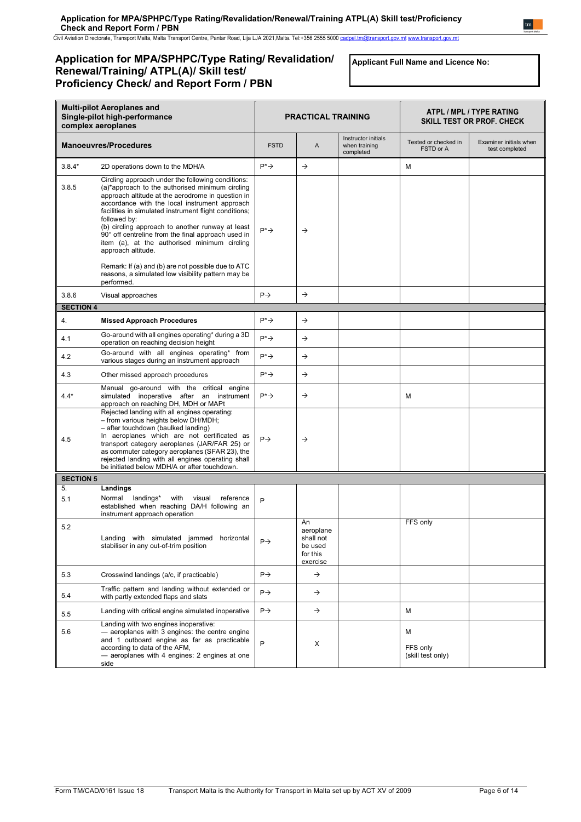Civil Aviation Directorate, Transport Malta, Malta Transport Centre, Pantar Road, Lija LJA 2021,Malta. Tel:+356 2555 5000 [cadpel.tm@transport.gov.mt](mailto:cadpel.tm@transport.gov.mt) www.transport.gov.mt

# **Application for MPA/SPHPC/Type Rating/ Revalidation/ Renewal/Training/ ATPL(A)/ Skill test/ Proficiency Check/ and Report Form / PBN**

**Applicant Full Name and Licence No:**

| <b>Multi-pilot Aeroplanes and</b><br>Single-pilot high-performance<br>complex aeroplanes |                                                                                                                                                                                                                                                                                                                                                                                                                                                                     | <b>PRACTICAL TRAINING</b> |                                                                 | ATPL / MPL / TYPE RATING<br><b>SKILL TEST OR PROF. CHECK</b> |                                    |                                          |
|------------------------------------------------------------------------------------------|---------------------------------------------------------------------------------------------------------------------------------------------------------------------------------------------------------------------------------------------------------------------------------------------------------------------------------------------------------------------------------------------------------------------------------------------------------------------|---------------------------|-----------------------------------------------------------------|--------------------------------------------------------------|------------------------------------|------------------------------------------|
| <b>Manoeuvres/Procedures</b>                                                             |                                                                                                                                                                                                                                                                                                                                                                                                                                                                     | <b>FSTD</b>               | A                                                               | Instructor initials<br>when training<br>completed            | Tested or checked in<br>FSTD or A  | Examiner initials when<br>test completed |
| $3.8.4*$                                                                                 | 2D operations down to the MDH/A                                                                                                                                                                                                                                                                                                                                                                                                                                     | $P^* \rightarrow$         | $\rightarrow$                                                   |                                                              | м                                  |                                          |
| 3.8.5                                                                                    | Circling approach under the following conditions:<br>(a)*approach to the authorised minimum circling<br>approach altitude at the aerodrome in question in<br>accordance with the local instrument approach<br>facilities in simulated instrument flight conditions;<br>followed by:<br>(b) circling approach to another runway at least<br>90° off centreline from the final approach used in<br>item (a), at the authorised minimum circling<br>approach altitude. | $P^* \rightarrow$         | $\rightarrow$                                                   |                                                              |                                    |                                          |
|                                                                                          | Remark: If (a) and (b) are not possible due to ATC<br>reasons, a simulated low visibility pattern may be<br>performed.                                                                                                                                                                                                                                                                                                                                              |                           |                                                                 |                                                              |                                    |                                          |
| 3.8.6                                                                                    | Visual approaches                                                                                                                                                                                                                                                                                                                                                                                                                                                   | $P \rightarrow$           | $\rightarrow$                                                   |                                                              |                                    |                                          |
| <b>SECTION 4</b>                                                                         |                                                                                                                                                                                                                                                                                                                                                                                                                                                                     |                           |                                                                 |                                                              |                                    |                                          |
| 4.                                                                                       | <b>Missed Approach Procedures</b>                                                                                                                                                                                                                                                                                                                                                                                                                                   | $P^* \rightarrow$         | $\rightarrow$                                                   |                                                              |                                    |                                          |
| 4.1                                                                                      | Go-around with all engines operating* during a 3D<br>operation on reaching decision height                                                                                                                                                                                                                                                                                                                                                                          | $P^* \rightarrow$         | $\rightarrow$                                                   |                                                              |                                    |                                          |
| 4.2                                                                                      | Go-around with all engines operating* from<br>various stages during an instrument approach                                                                                                                                                                                                                                                                                                                                                                          | $P^* \rightarrow$         | $\rightarrow$                                                   |                                                              |                                    |                                          |
| 4.3                                                                                      | Other missed approach procedures                                                                                                                                                                                                                                                                                                                                                                                                                                    | $P^* \rightarrow$         | $\rightarrow$                                                   |                                                              |                                    |                                          |
| $4.4*$                                                                                   | Manual go-around with the critical<br>engine<br>simulated inoperative after an instrument<br>approach on reaching DH, MDH or MAPt                                                                                                                                                                                                                                                                                                                                   | $P^* \rightarrow$         | $\rightarrow$                                                   |                                                              | м                                  |                                          |
| 4.5                                                                                      | Rejected landing with all engines operating:<br>- from various heights below DH/MDH;<br>- after touchdown (baulked landing)<br>In aeroplanes which are not certificated as<br>transport category aeroplanes (JAR/FAR 25) or<br>as commuter category aeroplanes (SFAR 23), the<br>rejected landing with all engines operating shall<br>be initiated below MDH/A or after touchdown.                                                                                  | $P \rightarrow$           | $\rightarrow$                                                   |                                                              |                                    |                                          |
| <b>SECTION 5</b>                                                                         |                                                                                                                                                                                                                                                                                                                                                                                                                                                                     |                           |                                                                 |                                                              |                                    |                                          |
| 5.<br>5.1                                                                                | Landings<br>Normal landings*<br>with<br>reference<br>visual<br>established when reaching DA/H following an<br>instrument approach operation                                                                                                                                                                                                                                                                                                                         | P                         |                                                                 |                                                              |                                    |                                          |
| 5.2                                                                                      | Landing with simulated jammed horizontal<br>stabiliser in any out-of-trim position                                                                                                                                                                                                                                                                                                                                                                                  | $P \rightarrow$           | An<br>aeroplane<br>shall not<br>be used<br>for this<br>exercise |                                                              | FFS only                           |                                          |
| 5.3                                                                                      | Crosswind landings (a/c, if practicable)                                                                                                                                                                                                                                                                                                                                                                                                                            | $P \rightarrow$           | $\rightarrow$                                                   |                                                              |                                    |                                          |
| 5.4                                                                                      | Traffic pattern and landing without extended or<br>with partly extended flaps and slats                                                                                                                                                                                                                                                                                                                                                                             | $P\rightarrow$            | $\rightarrow$                                                   |                                                              |                                    |                                          |
| 5.5                                                                                      | Landing with critical engine simulated inoperative                                                                                                                                                                                                                                                                                                                                                                                                                  | $P \rightarrow$           | $\rightarrow$                                                   |                                                              | м                                  |                                          |
| 5.6                                                                                      | Landing with two engines inoperative:<br>- aeroplanes with 3 engines: the centre engine<br>and 1 outboard engine as far as practicable<br>according to data of the AFM,<br>- aeroplanes with 4 engines: 2 engines at one<br>side                                                                                                                                                                                                                                    | P                         | X                                                               |                                                              | м<br>FFS only<br>(skill test only) |                                          |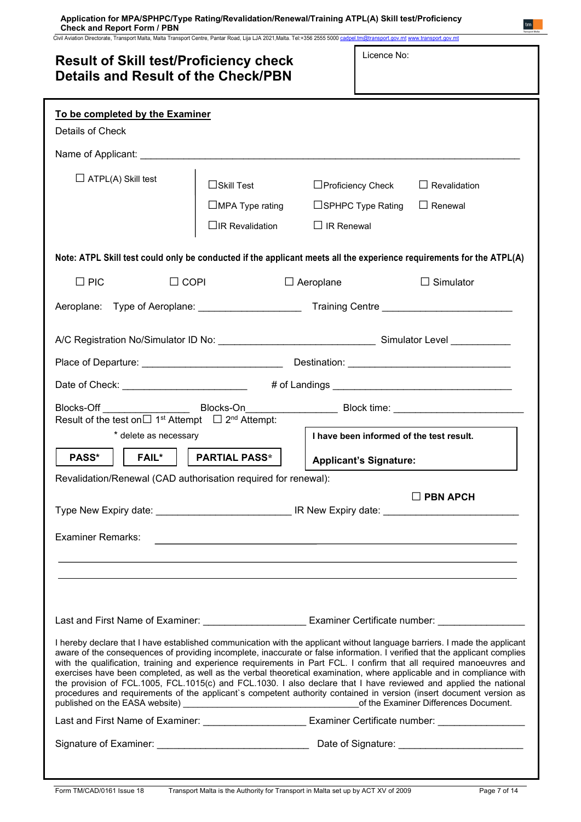Civil Aviation Directorate, Transport Malta, Malta Transport Centre, Pantar Road, Lija LJA 2021,Malta. Tel:+356 2555 5000 [cadpel.tm@transport.gov.mt](mailto:cadpel.tm@transport.gov.mt) www.transport.gov.mt

| <b>Result of Skill test/Proficiency check</b><br><b>Details and Result of the Check/PBN</b> |                                                                                                                       |                               | Licence No:                                                                                                                                                                                                                                                                                                                                                                                                                                                                                                                                                                                                            |
|---------------------------------------------------------------------------------------------|-----------------------------------------------------------------------------------------------------------------------|-------------------------------|------------------------------------------------------------------------------------------------------------------------------------------------------------------------------------------------------------------------------------------------------------------------------------------------------------------------------------------------------------------------------------------------------------------------------------------------------------------------------------------------------------------------------------------------------------------------------------------------------------------------|
| To be completed by the Examiner<br>Details of Check                                         |                                                                                                                       |                               |                                                                                                                                                                                                                                                                                                                                                                                                                                                                                                                                                                                                                        |
|                                                                                             |                                                                                                                       |                               |                                                                                                                                                                                                                                                                                                                                                                                                                                                                                                                                                                                                                        |
| $\Box$ ATPL(A) Skill test                                                                   | $\Box$ Skill Test<br>$\Box$ MPA Type rating<br>$\Box$ IR Revalidation $\Box$ IR Renewal                               | $\Box$ Proficiency Check      | $\Box$ Revalidation<br>$\Box$ SPHPC Type Rating $\Box$ Renewal                                                                                                                                                                                                                                                                                                                                                                                                                                                                                                                                                         |
|                                                                                             |                                                                                                                       |                               | Note: ATPL Skill test could only be conducted if the applicant meets all the experience requirements for the ATPL(A)                                                                                                                                                                                                                                                                                                                                                                                                                                                                                                   |
| $\Box$ PIC<br>$\Box$ COPI                                                                   |                                                                                                                       | $\Box$ Aeroplane              | $\Box$ Simulator                                                                                                                                                                                                                                                                                                                                                                                                                                                                                                                                                                                                       |
|                                                                                             |                                                                                                                       |                               |                                                                                                                                                                                                                                                                                                                                                                                                                                                                                                                                                                                                                        |
|                                                                                             |                                                                                                                       |                               |                                                                                                                                                                                                                                                                                                                                                                                                                                                                                                                                                                                                                        |
|                                                                                             |                                                                                                                       |                               |                                                                                                                                                                                                                                                                                                                                                                                                                                                                                                                                                                                                                        |
| Date of Check: __________________________   # of Landings _______________________           |                                                                                                                       |                               |                                                                                                                                                                                                                                                                                                                                                                                                                                                                                                                                                                                                                        |
| Result of the test on $\Box$ 1 <sup>st</sup> Attempt $\Box$ 2 <sup>nd</sup> Attempt:        |                                                                                                                       |                               | Blocks-Off ________________________Blocks-On________________________Block time: __________________________                                                                                                                                                                                                                                                                                                                                                                                                                                                                                                             |
| * delete as necessary                                                                       |                                                                                                                       |                               | I have been informed of the test result.                                                                                                                                                                                                                                                                                                                                                                                                                                                                                                                                                                               |
| PASS*<br><b>FAIL*</b>                                                                       | <b>PARTIAL PASS*</b>                                                                                                  | <b>Applicant's Signature:</b> |                                                                                                                                                                                                                                                                                                                                                                                                                                                                                                                                                                                                                        |
| Revalidation/Renewal (CAD authorisation required for renewal):                              |                                                                                                                       |                               |                                                                                                                                                                                                                                                                                                                                                                                                                                                                                                                                                                                                                        |
|                                                                                             |                                                                                                                       |                               | $\Box$ PBN APCH                                                                                                                                                                                                                                                                                                                                                                                                                                                                                                                                                                                                        |
| <b>Examiner Remarks:</b>                                                                    | <u> 1989 - Johann Harry Harry Harry Harry Harry Harry Harry Harry Harry Harry Harry Harry Harry Harry Harry Harry</u> |                               |                                                                                                                                                                                                                                                                                                                                                                                                                                                                                                                                                                                                                        |
|                                                                                             |                                                                                                                       |                               |                                                                                                                                                                                                                                                                                                                                                                                                                                                                                                                                                                                                                        |
|                                                                                             |                                                                                                                       |                               |                                                                                                                                                                                                                                                                                                                                                                                                                                                                                                                                                                                                                        |
|                                                                                             |                                                                                                                       |                               | Last and First Name of Examiner: ___________________________ Examiner Certificate number: ________________<br>I hereby declare that I have established communication with the applicant without language barriers. I made the applicant<br>aware of the consequences of providing incomplete, inaccurate or false information. I verified that the applicant complies<br>with the qualification, training and experience requirements in Part FCL. I confirm that all required manoeuvres and<br>exercises have been completed, as well as the verbal theoretical examination, where applicable and in compliance with |
|                                                                                             |                                                                                                                       |                               | the provision of FCL.1005, FCL.1015(c) and FCL.1030. I also declare that I have reviewed and applied the national<br>procedures and requirements of the applicant's competent authority contained in version (insert document version as                                                                                                                                                                                                                                                                                                                                                                               |
|                                                                                             |                                                                                                                       |                               | Last and First Name of Examiner: ___________________________ Examiner Certificate number: ________________                                                                                                                                                                                                                                                                                                                                                                                                                                                                                                             |
|                                                                                             |                                                                                                                       |                               |                                                                                                                                                                                                                                                                                                                                                                                                                                                                                                                                                                                                                        |
|                                                                                             |                                                                                                                       |                               |                                                                                                                                                                                                                                                                                                                                                                                                                                                                                                                                                                                                                        |

 $tm$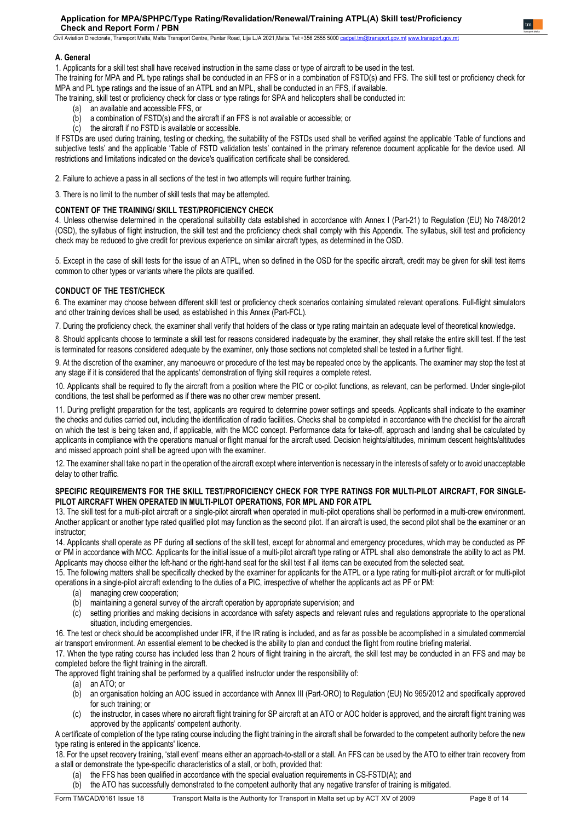Civil Aviation Directorate, Transport Malta, Malta Transport Centre, Pantar Road, Lija LJA 2021, Malta. Tel:+356 2555 5000 cadpel.tm@tra

## **A. General**

1. Applicants for a skill test shall have received instruction in the same class or type of aircraft to be used in the test.

The training for MPA and PL type ratings shall be conducted in an FFS or in a combination of FSTD(s) and FFS. The skill test or proficiency check for MPA and PL type ratings and the issue of an ATPL and an MPL, shall be conducted in an FFS, if available.

The training, skill test or proficiency check for class or type ratings for SPA and helicopters shall be conducted in:

- (a) an available and accessible FFS, or
- (b) a combination of FSTD(s) and the aircraft if an FFS is not available or accessible; or
- (c) the aircraft if no FSTD is available or accessible.

If FSTDs are used during training, testing or checking, the suitability of the FSTDs used shall be verified against the applicable 'Table of functions and subjective tests' and the applicable 'Table of FSTD validation tests' contained in the primary reference document applicable for the device used. All restrictions and limitations indicated on the device's qualification certificate shall be considered.

2. Failure to achieve a pass in all sections of the test in two attempts will require further training.

3. There is no limit to the number of skill tests that may be attempted.

## **CONTENT OF THE TRAINING/ SKILL TEST/PROFICIENCY CHECK**

4. Unless otherwise determined in the operational suitability data established in accordance with Annex I (Part-21) to Regulation (EU) No 748/2012 (OSD), the syllabus of flight instruction, the skill test and the proficiency check shall comply with this Appendix. The syllabus, skill test and proficiency check may be reduced to give credit for previous experience on similar aircraft types, as determined in the OSD.

5. Except in the case of skill tests for the issue of an ATPL, when so defined in the OSD for the specific aircraft, credit may be given for skill test items common to other types or variants where the pilots are qualified.

## **CONDUCT OF THE TEST/CHECK**

6. The examiner may choose between different skill test or proficiency check scenarios containing simulated relevant operations. Full-flight simulators and other training devices shall be used, as established in this Annex (Part-FCL).

7. During the proficiency check, the examiner shall verify that holders of the class or type rating maintain an adequate level of theoretical knowledge.

8. Should applicants choose to terminate a skill test for reasons considered inadequate by the examiner, they shall retake the entire skill test. If the test is terminated for reasons considered adequate by the examiner, only those sections not completed shall be tested in a further flight.

9. At the discretion of the examiner, any manoeuvre or procedure of the test may be repeated once by the applicants. The examiner may stop the test at any stage if it is considered that the applicants' demonstration of flying skill requires a complete retest.

10. Applicants shall be required to fly the aircraft from a position where the PIC or co-pilot functions, as relevant, can be performed. Under single-pilot conditions, the test shall be performed as if there was no other crew member present.

11. During preflight preparation for the test, applicants are required to determine power settings and speeds. Applicants shall indicate to the examiner the checks and duties carried out, including the identification of radio facilities. Checks shall be completed in accordance with the checklist for the aircraft on which the test is being taken and, if applicable, with the MCC concept. Performance data for take-off, approach and landing shall be calculated by applicants in compliance with the operations manual or flight manual for the aircraft used. Decision heights/altitudes, minimum descent heights/altitudes and missed approach point shall be agreed upon with the examiner.

12. The examiner shall take no part in the operation of the aircraft except where intervention is necessary in the interests of safety or to avoid unacceptable delay to other traffic.

## **SPECIFIC REQUIREMENTS FOR THE SKILL TEST/PROFICIENCY CHECK FOR TYPE RATINGS FOR MULTI-PILOT AIRCRAFT, FOR SINGLE-PILOT AIRCRAFT WHEN OPERATED IN MULTI-PILOT OPERATIONS, FOR MPL AND FOR ATPL**

13. The skill test for a multi-pilot aircraft or a single-pilot aircraft when operated in multi-pilot operations shall be performed in a multi-crew environment. Another applicant or another type rated qualified pilot may function as the second pilot. If an aircraft is used, the second pilot shall be the examiner or an instructor;

14. Applicants shall operate as PF during all sections of the skill test, except for abnormal and emergency procedures, which may be conducted as PF or PM in accordance with MCC. Applicants for the initial issue of a multi-pilot aircraft type rating or ATPL shall also demonstrate the ability to act as PM. Applicants may choose either the left-hand or the right-hand seat for the skill test if all items can be executed from the selected seat.

15. The following matters shall be specifically checked by the examiner for applicants for the ATPL or a type rating for multi-pilot aircraft or for multi-pilot operations in a single-pilot aircraft extending to the duties of a PIC, irrespective of whether the applicants act as PF or PM:

- (a) managing crew cooperation;
- (b) maintaining a general survey of the aircraft operation by appropriate supervision; and
- (c) setting priorities and making decisions in accordance with safety aspects and relevant rules and regulations appropriate to the operational situation, including emergencies.
- 16. The test or check should be accomplished under IFR, if the IR rating is included, and as far as possible be accomplished in a simulated commercial air transport environment. An essential element to be checked is the ability to plan and conduct the flight from routine briefing material.

17. When the type rating course has included less than 2 hours of flight training in the aircraft, the skill test may be conducted in an FFS and may be completed before the flight training in the aircraft.

The approved flight training shall be performed by a qualified instructor under the responsibility of:

- (a) an ATO; or
- (b) an organisation holding an AOC issued in accordance with Annex III (Part-ORO) to Regulation (EU) No 965/2012 and specifically approved for such training; or
- the instructor, in cases where no aircraft flight training for SP aircraft at an ATO or AOC holder is approved, and the aircraft flight training was approved by the applicants' competent authority.

A certificate of completion of the type rating course including the flight training in the aircraft shall be forwarded to the competent authority before the new type rating is entered in the applicants' licence.

18. For the upset recovery training, 'stall event' means either an approach-to-stall or a stall. An FFS can be used by the ATO to either train recovery from a stall or demonstrate the type-specific characteristics of a stall, or both, provided that:

- (a) the FFS has been qualified in accordance with the special evaluation requirements in CS-FSTD(A); and
- (b) the ATO has successfully demonstrated to the competent authority that any negative transfer of training is mitigated.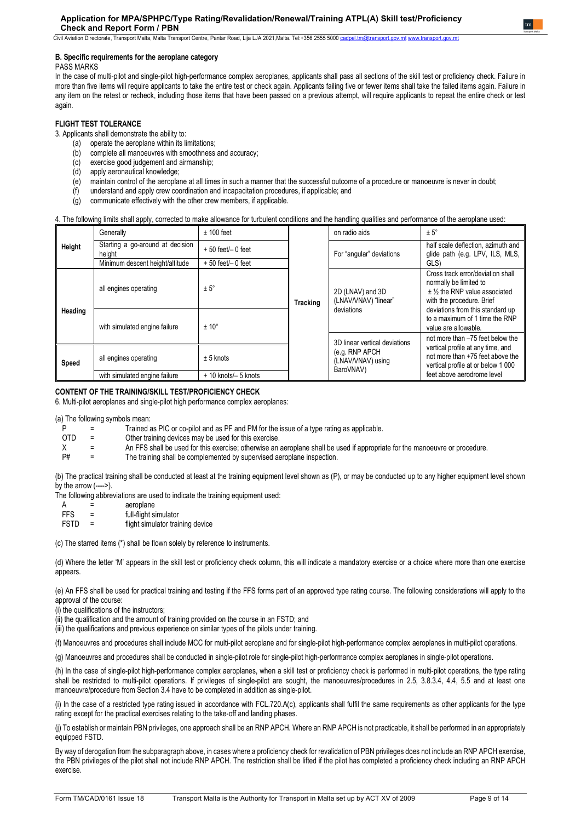Civil Aviation Directorate, Transport Malta, Malta Transport Centre, Pantar Road, Lija LJA 2021,Malta. Tel:+356 2555 5000 cadpel.tr

### **B. Specific requirements for the aeroplane category**

PASS MARKS

In the case of multi-pilot and single-pilot high-performance complex aeroplanes, applicants shall pass all sections of the skill test or proficiency check. Failure in more than five items will require applicants to take the entire test or check again. Applicants failing five or fewer items shall take the failed items again. Failure in any item on the retest or recheck, including those items that have been passed on a previous attempt, will require applicants to repeat the entire check or test again.

## **FLIGHT TEST TOLERANCE**

3. Applicants shall demonstrate the ability to:

- (a) operate the aeroplane within its limitations;
- (b) complete all manoeuvres with smoothness and accuracy;
- (c) exercise good judgement and airmanship;
- (d) apply aeronautical knowledge;
- (e) maintain control of the aeroplane at all times in such a manner that the successful outcome of a procedure or manoeuvre is never in doubt;
- (f) understand and apply crew coordination and incapacitation procedures, if applicable; and
- (g) communicate effectively with the other crew members, if applicable.

### 4. The following limits shall apply, corrected to make allowance for turbulent conditions and the handling qualities and performance of the aeroplane used:

| Height  | Generally                                  | $± 100$ feet          |          | on radio aids                                    | $± 5^\circ$                                                                                                                |  |
|---------|--------------------------------------------|-----------------------|----------|--------------------------------------------------|----------------------------------------------------------------------------------------------------------------------------|--|
|         | Starting a go-around at decision<br>height | $+50$ feet $-0$ feet  |          | For "angular" deviations                         | half scale deflection, azimuth and<br>glide path (e.g. LPV, ILS, MLS,                                                      |  |
|         | Minimum descent height/altitude            | $+50$ feet/ $-0$ feet |          |                                                  | GLS)                                                                                                                       |  |
| Heading | all engines operating                      | $± 5^\circ$           | Tracking | 2D (LNAV) and 3D<br>(LNAV/VNAV) "linear"         | Cross track error/deviation shall<br>normally be limited to<br>$±$ % the RNP value associated<br>with the procedure. Brief |  |
|         | with simulated engine failure              | $± 10^{\circ}$        |          | deviations                                       | deviations from this standard up<br>to a maximum of 1 time the RNP<br>value are allowable.                                 |  |
|         |                                            |                       |          | 3D linear vertical deviations                    | not more than -75 feet below the                                                                                           |  |
| Speed   | all engines operating                      | $± 5$ knots           |          | (e.g. RNP APCH<br>(LNAV/VNAV) using<br>BaroVNAV) | vertical profile at any time, and<br>not more than +75 feet above the<br>vertical profile at or below 1 000                |  |
|         | with simulated engine failure              | + 10 knots/- 5 knots  |          |                                                  | feet above aerodrome level                                                                                                 |  |

#### **CONTENT OF THE TRAINING/SKILL TEST/PROFICIENCY CHECK**

6. Multi-pilot aeroplanes and single-pilot high performance complex aeroplanes:

(a) The following symbols mean:<br>P = Trained a

- $P =$  Trained as PIC or co-pilot and as PF and PM for the issue of a type rating as applicable.<br>OTD = Other training devices may be used for this exercise.
- Other training devices may be used for this exercise.

 $X =$  An FFS shall be used for this exercise; otherwise an aeroplane shall be used if appropriate for the manoeuvre or procedure.<br>P# = The training shall be complemented by supervised aeroplane inspection

The training shall be complemented by supervised aeroplane inspection.

(b) The practical training shall be conducted at least at the training equipment level shown as (P), or may be conducted up to any higher equipment level shown by the arrow  $(---)$ .

The following abbreviations are used to indicate the training equipment used:

- A = aeroplane
- FFS = full-flight simulator
- FSTD = flight simulator training device

(c) The starred items (\*) shall be flown solely by reference to instruments.

(d) Where the letter 'M' appears in the skill test or proficiency check column, this will indicate a mandatory exercise or a choice where more than one exercise appears.

(e) An FFS shall be used for practical training and testing if the FFS forms part of an approved type rating course. The following considerations will apply to the approval of the course:

(i) the qualifications of the instructors;

(ii) the qualification and the amount of training provided on the course in an FSTD; and

(iii) the qualifications and previous experience on similar types of the pilots under training.

(f) Manoeuvres and procedures shall include MCC for multi-pilot aeroplane and for single-pilot high-performance complex aeroplanes in multi-pilot operations.

(g) Manoeuvres and procedures shall be conducted in single-pilot role for single-pilot high-performance complex aeroplanes in single-pilot operations.

(h) In the case of single-pilot high-performance complex aeroplanes, when a skill test or proficiency check is performed in multi-pilot operations, the type rating shall be restricted to multi-pilot operations. If privileges of single-pilot are sought, the manoeuvres/procedures in 2.5, 3.8.3.4, 4.4, 5.5 and at least one manoeuvre/procedure from Section 3.4 have to be completed in addition as single-pilot.

(i) In the case of a restricted type rating issued in accordance with FCL.720.A(c), applicants shall fulfil the same requirements as other applicants for the type rating except for the practical exercises relating to the take-off and landing phases.

(j) To establish or maintain PBN privileges, one approach shall be an RNP APCH. Where an RNP APCH is not practicable, it shall be performed in an appropriately equipped FSTD.

By way of derogation from the subparagraph above, in cases where a proficiency check for revalidation of PBN privileges does not include an RNP APCH exercise, the PBN privileges of the pilot shall not include RNP APCH. The restriction shall be lifted if the pilot has completed a proficiency check including an RNP APCH exercise.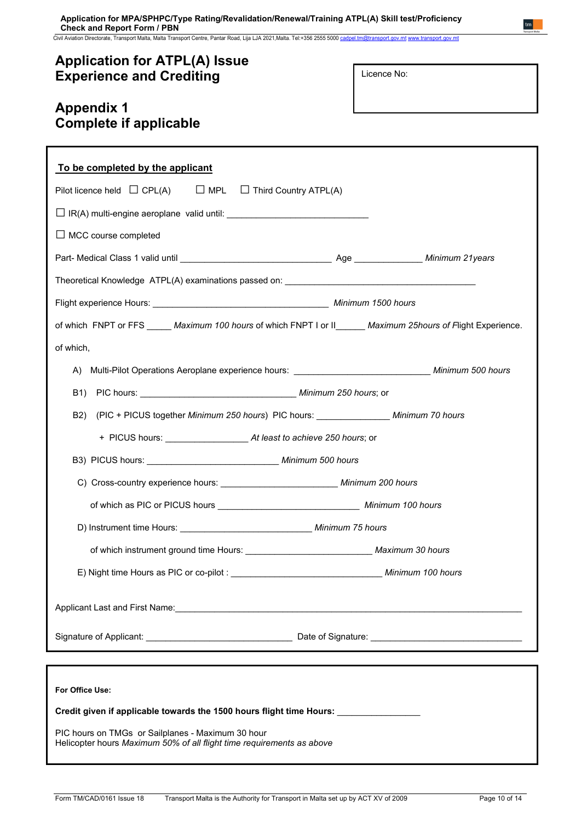Civil Aviation Directorate, Transport Malta, Malta Transport Centre, Pantar Road, Lija LJA 2021,Malta. Tel:+356 2555 5000 [cadpel.tm@transport.gov.mt](mailto:cadpel.tm@transport.gov.mt) www.transport.gov.mt

# **Application for ATPL(A) Issue Experience and Crediting**

Licence No:

# **Appendix 1 Complete if applicable**

| To be completed by the applicant                                                                                           |                                                                          |  |  |  |  |  |
|----------------------------------------------------------------------------------------------------------------------------|--------------------------------------------------------------------------|--|--|--|--|--|
|                                                                                                                            | Pilot licence held $\Box$ CPL(A) $\Box$ MPL $\Box$ Third Country ATPL(A) |  |  |  |  |  |
| $\Box$ IR(A) multi-engine aeroplane valid until: __________________________________                                        |                                                                          |  |  |  |  |  |
| $\Box$ MCC course completed                                                                                                |                                                                          |  |  |  |  |  |
|                                                                                                                            |                                                                          |  |  |  |  |  |
|                                                                                                                            |                                                                          |  |  |  |  |  |
|                                                                                                                            |                                                                          |  |  |  |  |  |
| of which FNPT or FFS _____ Maximum 100 hours of which FNPT I or II______ Maximum 25hours of Flight Experience.             |                                                                          |  |  |  |  |  |
| of which,                                                                                                                  |                                                                          |  |  |  |  |  |
|                                                                                                                            |                                                                          |  |  |  |  |  |
|                                                                                                                            |                                                                          |  |  |  |  |  |
| B2) (PIC + PICUS together Minimum 250 hours) PIC hours: Minimum 70 hours                                                   |                                                                          |  |  |  |  |  |
|                                                                                                                            |                                                                          |  |  |  |  |  |
| B3) PICUS hours: _________________________________ Minimum 500 hours                                                       |                                                                          |  |  |  |  |  |
|                                                                                                                            |                                                                          |  |  |  |  |  |
|                                                                                                                            |                                                                          |  |  |  |  |  |
|                                                                                                                            |                                                                          |  |  |  |  |  |
|                                                                                                                            |                                                                          |  |  |  |  |  |
|                                                                                                                            |                                                                          |  |  |  |  |  |
| Applicant Last and First Name: Manual Applicant Last and First Name: Manual Applicant Last and First Name:                 |                                                                          |  |  |  |  |  |
|                                                                                                                            |                                                                          |  |  |  |  |  |
|                                                                                                                            |                                                                          |  |  |  |  |  |
| For Office Use:                                                                                                            |                                                                          |  |  |  |  |  |
| Credit given if applicable towards the 1500 hours flight time Hours:                                                       |                                                                          |  |  |  |  |  |
| PIC hours on TMGs or Sailplanes - Maximum 30 hour<br>Helicopter hours Maximum 50% of all flight time requirements as above |                                                                          |  |  |  |  |  |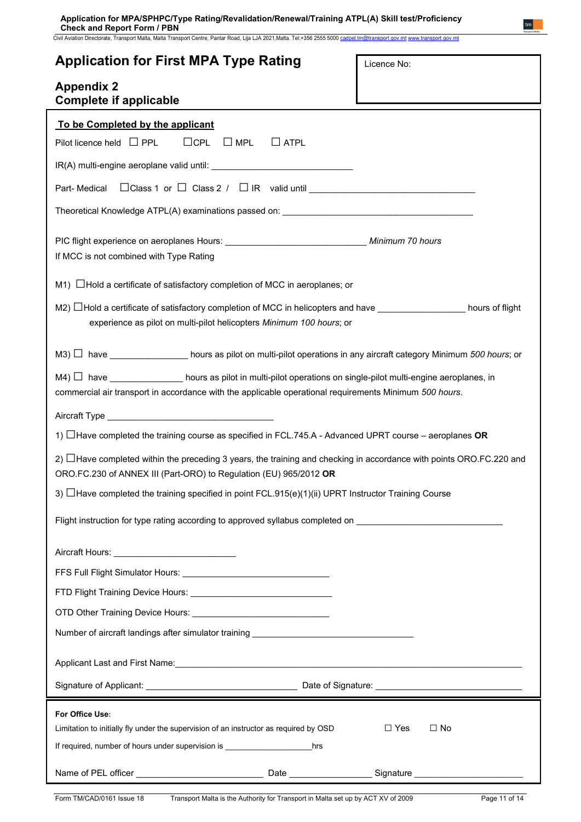Civil Aviation Directorate, Transport Malta, Malta Transport Centre, Pantar Road, Lija LJA 2021,Malta. Tel:+356 2555 5000 [cadpel.tm@transport.gov.mt](mailto:cadpel.tm@transport.gov.mt) www.transport.gov.mt

| <b>Application for First MPA Type Rating</b>                                                                                                                                                                                        | Licence No:             |
|-------------------------------------------------------------------------------------------------------------------------------------------------------------------------------------------------------------------------------------|-------------------------|
| <b>Appendix 2</b><br><b>Complete if applicable</b>                                                                                                                                                                                  |                         |
| To be Completed by the applicant                                                                                                                                                                                                    |                         |
| $\Box$ CPL $\Box$ MPL<br>Pilot licence held $\Box$ PPL<br>$\Box$ ATPL                                                                                                                                                               |                         |
|                                                                                                                                                                                                                                     |                         |
| Part- Medical □ Class 1 or □ Class 2 / □ IR valid until _________________________                                                                                                                                                   |                         |
|                                                                                                                                                                                                                                     |                         |
| If MCC is not combined with Type Rating                                                                                                                                                                                             |                         |
| $M1)$ $\Box$ Hold a certificate of satisfactory completion of MCC in aeroplanes; or                                                                                                                                                 |                         |
| M2) $\Box$ Hold a certificate of satisfactory completion of MCC in helicopters and have __________________ hours of flight<br>experience as pilot on multi-pilot helicopters Minimum 100 hours; or                                  |                         |
| M3) □ have ________________ hours as pilot on multi-pilot operations in any aircraft category Minimum 500 hours; or                                                                                                                 |                         |
| $M4)$ have hours as pilot in multi-pilot operations on single-pilot multi-engine aeroplanes, in<br>commercial air transport in accordance with the applicable operational requirements Minimum 500 hours.                           |                         |
|                                                                                                                                                                                                                                     |                         |
| 1) $\Box$ Have completed the training course as specified in FCL.745.A - Advanced UPRT course – aeroplanes OR                                                                                                                       |                         |
| 2) ∐Have completed within the preceding 3 years, the training and checking in accordance with points ORO.FC.220 and<br>ORO.FC.230 of ANNEX III (Part-ORO) to Regulation (EU) 965/2012 OR                                            |                         |
| 3) $\Box$ Have completed the training specified in point FCL.915(e)(1)(ii) UPRT Instructor Training Course                                                                                                                          |                         |
| Flight instruction for type rating according to approved syllabus completed on                                                                                                                                                      |                         |
|                                                                                                                                                                                                                                     |                         |
|                                                                                                                                                                                                                                     |                         |
|                                                                                                                                                                                                                                     |                         |
|                                                                                                                                                                                                                                     |                         |
| Number of aircraft landings after simulator training ___________________________                                                                                                                                                    |                         |
| Applicant Last and First Name: 1990 1990 1991 1992 1994 1994 1994 1994 1994 1995 1996 1997 1998 1999 1999 199                                                                                                                       |                         |
|                                                                                                                                                                                                                                     |                         |
| For Office Use:<br>Limitation to initially fly under the supervision of an instructor as required by OSD<br>If required, number of hours under supervision is _____________________________hrs                                      | $\Box$ Yes<br>$\Box$ No |
| Name of PEL officer <b>Construction Construction Case Construction</b> Case Construction Case Construction Case Construction Case Construction Case Construction Case Construction Case Construction Case Construction Case Constru |                         |

 $tm$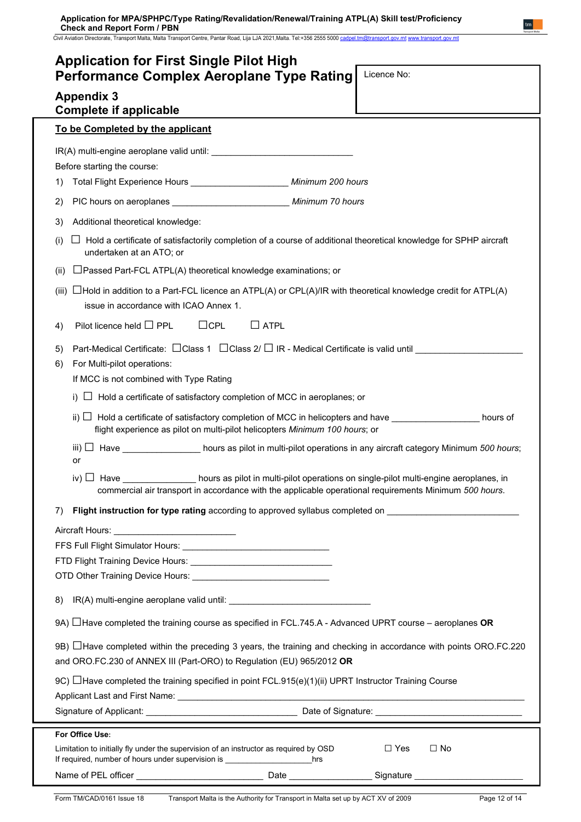Civil Aviation Directorate, Transport Malta, Malta Transport Centre, Pantar Road, Lija LJA 2021,Malta. Tel:+356 2555 5000 [cadpel.tm@transport.gov.mt](mailto:cadpel.tm@transport.gov.mt) www.transport.gov.mt

| <b>Application for First Single Pilot High</b><br><b>Performance Complex Aeroplane Type Rating</b>                                                                            | Licence No:                                                                                                                                                                                                                                     |
|-------------------------------------------------------------------------------------------------------------------------------------------------------------------------------|-------------------------------------------------------------------------------------------------------------------------------------------------------------------------------------------------------------------------------------------------|
| <b>Appendix 3</b><br><b>Complete if applicable</b>                                                                                                                            |                                                                                                                                                                                                                                                 |
| To be Completed by the applicant                                                                                                                                              |                                                                                                                                                                                                                                                 |
| Before starting the course:                                                                                                                                                   |                                                                                                                                                                                                                                                 |
| Total Flight Experience Hours _______________________ Minimum 200 hours<br>1)                                                                                                 |                                                                                                                                                                                                                                                 |
| PIC hours on aeroplanes ________________________________ Minimum 70 hours<br>2)                                                                                               |                                                                                                                                                                                                                                                 |
| Additional theoretical knowledge:<br>3)                                                                                                                                       |                                                                                                                                                                                                                                                 |
| (i)<br>undertaken at an ATO; or                                                                                                                                               | Hold a certificate of satisfactorily completion of a course of additional theoretical knowledge for SPHP aircraft                                                                                                                               |
| $\Box$ Passed Part-FCL ATPL(A) theoretical knowledge examinations; or<br>(ii)                                                                                                 |                                                                                                                                                                                                                                                 |
| (iii)<br>issue in accordance with ICAO Annex 1.                                                                                                                               | $\Box$ Hold in addition to a Part-FCL licence an ATPL(A) or CPL(A)/IR with theoretical knowledge credit for ATPL(A)                                                                                                                             |
| $\Box$ CPL<br>$\Box$ ATPL<br>Pilot licence held $\Box$ PPL<br>4)                                                                                                              |                                                                                                                                                                                                                                                 |
| 5)<br>For Multi-pilot operations:<br>6)<br>If MCC is not combined with Type Rating<br>$\Box$ Hold a certificate of satisfactory completion of MCC in aeroplanes; or<br>i)     | Part-Medical Certificate: □ Class 1 □ Class 2/ □ IR - Medical Certificate is valid until _____________________                                                                                                                                  |
| flight experience as pilot on multi-pilot helicopters Minimum 100 hours; or                                                                                                   | $\mathsf{ii}$ $\Box$ Hold a certificate of satisfactory completion of MCC in helicopters and have __________________ hours of                                                                                                                   |
| or                                                                                                                                                                            | iii) $\Box$ Have __________________ hours as pilot in multi-pilot operations in any aircraft category Minimum 500 hours;                                                                                                                        |
|                                                                                                                                                                               | iv) $\Box$ Have $\_\_\_\_\_\_\_\_\_\_\_\_\_\_\_$ hours as pilot in multi-pilot operations on single-pilot multi-engine aeroplanes, in<br>commercial air transport in accordance with the applicable operational requirements Minimum 500 hours. |
| 7)                                                                                                                                                                            | <b>Flight instruction for type rating</b> according to approved syllabus completed on                                                                                                                                                           |
|                                                                                                                                                                               |                                                                                                                                                                                                                                                 |
|                                                                                                                                                                               |                                                                                                                                                                                                                                                 |
| OTD Other Training Device Hours: <b>Campaign Act and Training Order Hours</b>                                                                                                 |                                                                                                                                                                                                                                                 |
| 8)                                                                                                                                                                            |                                                                                                                                                                                                                                                 |
| 9A) $\Box$ Have completed the training course as specified in FCL.745.A - Advanced UPRT course – aeroplanes OR                                                                |                                                                                                                                                                                                                                                 |
| and ORO.FC.230 of ANNEX III (Part-ORO) to Regulation (EU) 965/2012 OR                                                                                                         | 9B) ⊔Have completed within the preceding 3 years, the training and checking in accordance with points ORO.FC.220                                                                                                                                |
| 9C) $\Box$ Have completed the training specified in point FCL.915(e)(1)(ii) UPRT Instructor Training Course                                                                   |                                                                                                                                                                                                                                                 |
|                                                                                                                                                                               |                                                                                                                                                                                                                                                 |
| For Office Use:                                                                                                                                                               |                                                                                                                                                                                                                                                 |
| Limitation to initially fly under the supervision of an instructor as required by OSD<br>If required, number of hours under supervision is _______________________________hrs | $\Box$ Yes<br>$\Box$ No                                                                                                                                                                                                                         |
|                                                                                                                                                                               |                                                                                                                                                                                                                                                 |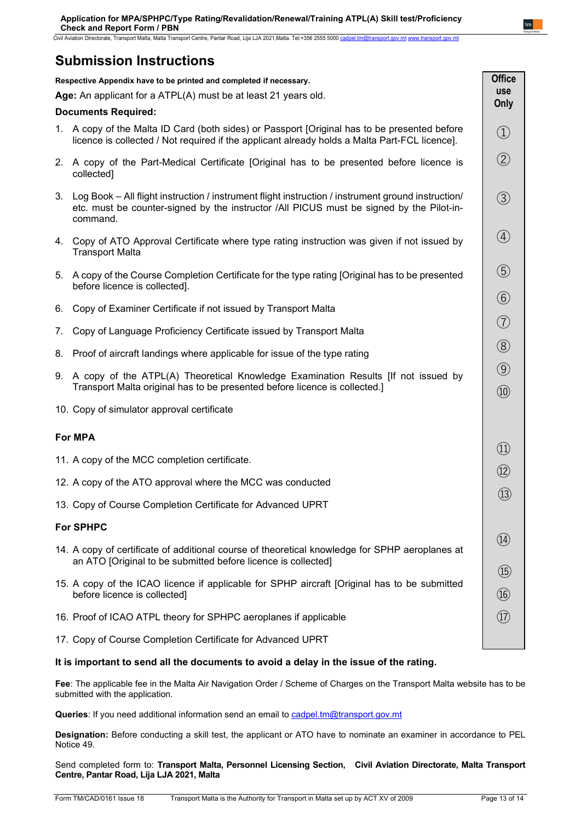Civil Aviation Directorate, Transport Malta, Malta Transport Centre, Pantar Road, Lija LJA 2021,Malta. Tel:+356 2555 5000 [cadpel.tm@transport.gov.mt](mailto:cadpel.tm@transport.gov.mt) www.tran

# **Submission Instructions**

|                                                                | Respective Appendix have to be printed and completed if necessary.                                                                                                                                            | <b>Office</b><br><b>use</b>   |  |  |
|----------------------------------------------------------------|---------------------------------------------------------------------------------------------------------------------------------------------------------------------------------------------------------------|-------------------------------|--|--|
| Age: An applicant for a ATPL(A) must be at least 21 years old. |                                                                                                                                                                                                               |                               |  |  |
|                                                                | <b>Documents Required:</b>                                                                                                                                                                                    | Only                          |  |  |
|                                                                | 1. A copy of the Malta ID Card (both sides) or Passport [Original has to be presented before<br>licence is collected / Not required if the applicant already holds a Malta Part-FCL licence].                 | $\bigcirc$                    |  |  |
|                                                                | 2. A copy of the Part-Medical Certificate [Original has to be presented before licence is<br>collected]                                                                                                       | $\circled{2}$                 |  |  |
|                                                                | 3. Log Book - All flight instruction / instrument flight instruction / instrument ground instruction/<br>etc. must be counter-signed by the instructor /All PICUS must be signed by the Pilot-in-<br>command. | $\circled{3}$                 |  |  |
|                                                                | 4. Copy of ATO Approval Certificate where type rating instruction was given if not issued by<br><b>Transport Malta</b>                                                                                        | $\bigcirc$                    |  |  |
|                                                                | 5. A copy of the Course Completion Certificate for the type rating [Original has to be presented<br>before licence is collected].                                                                             | $\circledS$                   |  |  |
| 6.                                                             | Copy of Examiner Certificate if not issued by Transport Malta                                                                                                                                                 | $\circled6$                   |  |  |
| 7.                                                             | Copy of Language Proficiency Certificate issued by Transport Malta                                                                                                                                            | $\circled{7}$                 |  |  |
|                                                                | 8. Proof of aircraft landings where applicable for issue of the type rating                                                                                                                                   | $\circledS$                   |  |  |
|                                                                | 9. A copy of the ATPL(A) Theoretical Knowledge Examination Results [If not issued by<br>Transport Malta original has to be presented before licence is collected.]                                            | $\circled{9}$<br>$\circledR$  |  |  |
|                                                                | 10. Copy of simulator approval certificate                                                                                                                                                                    |                               |  |  |
|                                                                | <b>For MPA</b>                                                                                                                                                                                                |                               |  |  |
|                                                                | 11. A copy of the MCC completion certificate.                                                                                                                                                                 | $\left( \underline{1}\right)$ |  |  |
|                                                                | 12. A copy of the ATO approval where the MCC was conducted                                                                                                                                                    | $\circled{12}$                |  |  |
|                                                                | 13. Copy of Course Completion Certificate for Advanced UPRT                                                                                                                                                   | $\circled{13}$                |  |  |
|                                                                | <b>For SPHPC</b>                                                                                                                                                                                              |                               |  |  |
|                                                                | 14. A copy of certificate of additional course of theoretical knowledge for SPHP aeroplanes at<br>an ATO [Original to be submitted before licence is collected]                                               | (14)                          |  |  |
|                                                                |                                                                                                                                                                                                               | $\circled{15}$                |  |  |
|                                                                | 15. A copy of the ICAO licence if applicable for SPHP aircraft [Original has to be submitted<br>before licence is collected]                                                                                  | $\circled{16}$                |  |  |
|                                                                | 16. Proof of ICAO ATPL theory for SPHPC aeroplanes if applicable                                                                                                                                              | $(\widehat{17})$              |  |  |
|                                                                | 17. Copy of Course Completion Certificate for Advanced UPRT                                                                                                                                                   |                               |  |  |

## **It is important to send all the documents to avoid a delay in the issue of the rating.**

**Fee**: The applicable fee in the Malta Air Navigation Order / Scheme of Charges on the Transport Malta website has to be submitted with the application.

**Queries**: If you need additional information send an email to cadpel.tm@transport.gov.mt

**Designation:** Before conducting a skill test, the applicant or ATO have to nominate an examiner in accordance to PEL Notice 49.

Send completed form to: **Transport Malta, Personnel Licensing Section, Civil Aviation Directorate, Malta Transport Centre, Pantar Road, Lija LJA 2021, Malta**